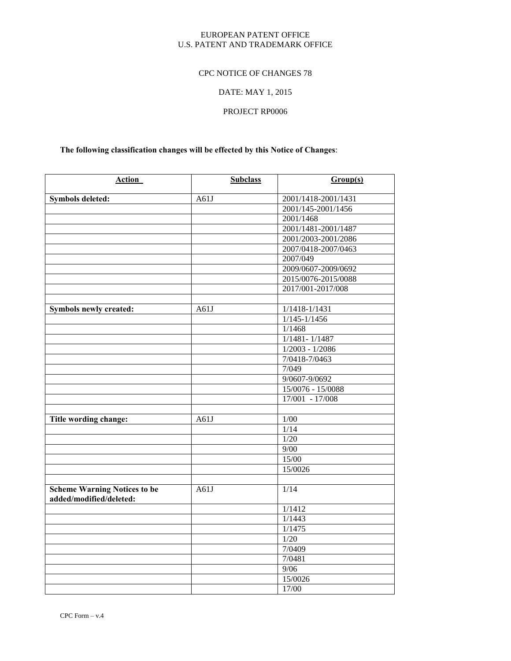#### EUROPEAN PATENT OFFICE U.S. PATENT AND TRADEMARK OFFICE

# CPC NOTICE OF CHANGES 78

# DATE: MAY 1, 2015

# PROJECT RP0006

# **The following classification changes will be effected by this Notice of Changes**:

| <b>Action</b>                                                  | <b>Subclass</b> | Group(s)            |
|----------------------------------------------------------------|-----------------|---------------------|
| <b>Symbols deleted:</b>                                        | A61J            | 2001/1418-2001/1431 |
|                                                                |                 | 2001/145-2001/1456  |
|                                                                |                 | 2001/1468           |
|                                                                |                 | 2001/1481-2001/1487 |
|                                                                |                 | 2001/2003-2001/2086 |
|                                                                |                 | 2007/0418-2007/0463 |
|                                                                |                 | 2007/049            |
|                                                                |                 | 2009/0607-2009/0692 |
|                                                                |                 | 2015/0076-2015/0088 |
|                                                                |                 | 2017/001-2017/008   |
|                                                                |                 |                     |
| Symbols newly created:                                         | A61J            | 1/1418-1/1431       |
|                                                                |                 | $1/145 - 1/1456$    |
|                                                                |                 | 1/1468              |
|                                                                |                 | $1/1481 - 1/1487$   |
|                                                                |                 | $1/2003 - 1/2086$   |
|                                                                |                 | 7/0418-7/0463       |
|                                                                |                 | 7/049               |
|                                                                |                 | 9/0607-9/0692       |
|                                                                |                 | $15/0076 - 15/0088$ |
|                                                                |                 | $17/001 - 17/008$   |
|                                                                |                 |                     |
| Title wording change:                                          | A61J            | $1/00$              |
|                                                                |                 | 1/14                |
|                                                                |                 | 1/20                |
|                                                                |                 | 9/00                |
|                                                                |                 | 15/00               |
|                                                                |                 | 15/0026             |
|                                                                |                 |                     |
| <b>Scheme Warning Notices to be</b><br>added/modified/deleted: | A61J            | 1/14                |
|                                                                |                 | 1/1412              |
|                                                                |                 | 1/1443              |
|                                                                |                 | 1/1475              |
|                                                                |                 | 1/20                |
|                                                                |                 | 7/0409              |
|                                                                |                 | 7/0481              |
|                                                                |                 | 9/06                |
|                                                                |                 | 15/0026             |
|                                                                |                 | 17/00               |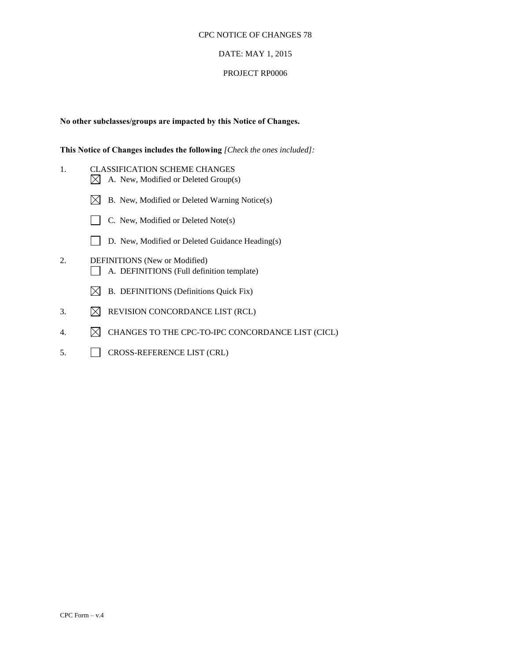#### DATE: MAY 1, 2015

#### PROJECT RP0006

#### **No other subclasses/groups are impacted by this Notice of Changes.**

#### **This Notice of Changes includes the following** *[Check the ones included]:*

- 1. CLASSIFICATION SCHEME CHANGES  $\boxtimes$  A. New, Modified or Deleted Group(s)
	- $\boxtimes$  B. New, Modified or Deleted Warning Notice(s)
	- C. New, Modified or Deleted Note(s)
	- D. New, Modified or Deleted Guidance Heading(s)
- 2. DEFINITIONS (New or Modified) A. DEFINITIONS (Full definition template)
	- $\boxtimes$  B. DEFINITIONS (Definitions Quick Fix)
- 3.  $\boxtimes$  REVISION CONCORDANCE LIST (RCL)
- 4.  $\boxtimes$  CHANGES TO THE CPC-TO-IPC CONCORDANCE LIST (CICL)
- 5. CROSS-REFERENCE LIST (CRL)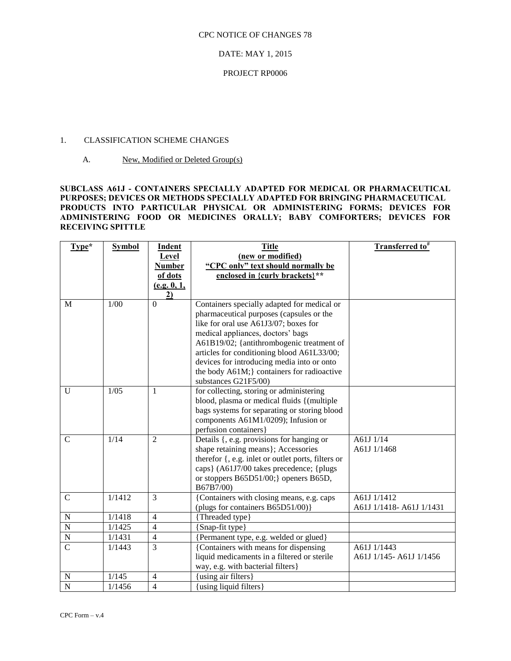DATE: MAY 1, 2015

#### PROJECT RP0006

### 1. CLASSIFICATION SCHEME CHANGES

### A. New, Modified or Deleted Group(s)

#### **SUBCLASS A61J - CONTAINERS SPECIALLY ADAPTED FOR MEDICAL OR PHARMACEUTICAL PURPOSES; DEVICES OR METHODS SPECIALLY ADAPTED FOR BRINGING PHARMACEUTICAL PRODUCTS INTO PARTICULAR PHYSICAL OR ADMINISTERING FORMS; DEVICES FOR ADMINISTERING FOOD OR MEDICINES ORALLY; BABY COMFORTERS; DEVICES FOR RECEIVING SPITTLE**

| Type*          | <b>Symbol</b> | Indent<br>Level<br><b>Number</b><br>of dots<br>(e.g. 0, 1,<br>2) | <b>Title</b><br>(new or modified)<br>"CPC only" text should normally be<br>enclosed in {curly brackets}**                                                                                                                                                                                                                                                                             | <b>Transferred to</b> <sup>#</sup>      |
|----------------|---------------|------------------------------------------------------------------|---------------------------------------------------------------------------------------------------------------------------------------------------------------------------------------------------------------------------------------------------------------------------------------------------------------------------------------------------------------------------------------|-----------------------------------------|
| M              | 1/00          | $\Omega$                                                         | Containers specially adapted for medical or<br>pharmaceutical purposes (capsules or the<br>like for oral use A61J3/07; boxes for<br>medical appliances, doctors' bags<br>A61B19/02; {antithrombogenic treatment of<br>articles for conditioning blood A61L33/00;<br>devices for introducing media into or onto<br>the body A61M; } containers for radioactive<br>substances G21F5/00) |                                         |
| U              | 1/05          | 1                                                                | for collecting, storing or administering<br>blood, plasma or medical fluids {(multiple)<br>bags systems for separating or storing blood<br>components A61M1/0209); Infusion or<br>perfusion containers)                                                                                                                                                                               |                                         |
| $\mathcal{C}$  | 1/14          | $\overline{2}$                                                   | Details {, e.g. provisions for hanging or<br>shape retaining means}; Accessories<br>therefor {, e.g. inlet or outlet ports, filters or<br>caps} (A61J7/00 takes precedence; {plugs<br>or stoppers B65D51/00;} openers B65D,<br>B67B7/00)                                                                                                                                              | A61J 1/14<br>A61J 1/1468                |
| $\mathbf C$    | 1/1412        | $\overline{3}$                                                   | {Containers with closing means, e.g. caps<br>(plugs for containers B65D51/00)}                                                                                                                                                                                                                                                                                                        | A61J 1/1412<br>A61J 1/1418- A61J 1/1431 |
| ${\bf N}$      | 1/1418        | $\overline{4}$                                                   | {Threaded type}                                                                                                                                                                                                                                                                                                                                                                       |                                         |
| $\overline{N}$ | 1/1425        | $\overline{4}$                                                   | {Snap-fit type}                                                                                                                                                                                                                                                                                                                                                                       |                                         |
| ${\bf N}$      | 1/1431        | $\overline{4}$                                                   | {Permanent type, e.g. welded or glued}                                                                                                                                                                                                                                                                                                                                                |                                         |
| $\overline{C}$ | 1/1443        | $\overline{3}$                                                   | {Containers with means for dispensing<br>liquid medicaments in a filtered or sterile<br>way, e.g. with bacterial filters}                                                                                                                                                                                                                                                             | A61J 1/1443<br>A61J 1/145-A61J 1/1456   |
| $\mathbf N$    | 1/145         | $\overline{4}$                                                   | {using air filters}                                                                                                                                                                                                                                                                                                                                                                   |                                         |
| $\overline{N}$ | 1/1456        | $\overline{4}$                                                   | {using liquid filters}                                                                                                                                                                                                                                                                                                                                                                |                                         |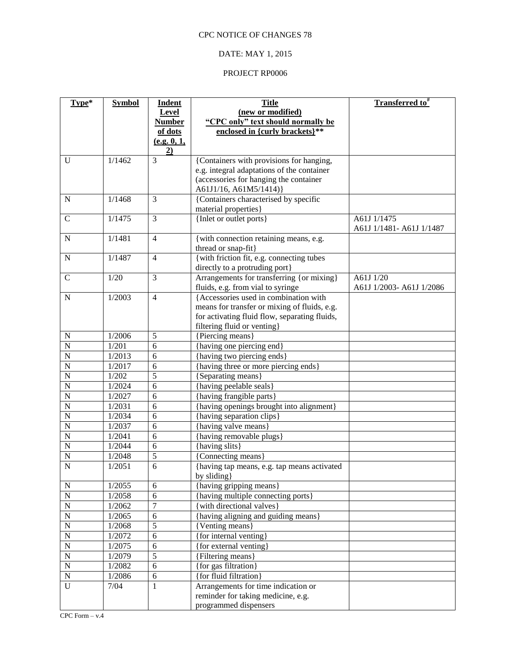### DATE: MAY 1, 2015

| Type*          | <b>Symbol</b> | <b>Indent</b>  | <b>Title</b>                                                                         | Transferred to <sup>#</sup> |
|----------------|---------------|----------------|--------------------------------------------------------------------------------------|-----------------------------|
|                |               | Level          | (new or modified)                                                                    |                             |
|                |               | <b>Number</b>  | "CPC only" text should normally be                                                   |                             |
|                |               | of dots        | enclosed in {curly brackets}**                                                       |                             |
|                |               | (e.g. 0, 1,    |                                                                                      |                             |
|                |               | 2)             |                                                                                      |                             |
| U              | 1/1462        | $\overline{3}$ | {Containers with provisions for hanging,                                             |                             |
|                |               |                | e.g. integral adaptations of the container<br>(accessories for hanging the container |                             |
|                |               |                | A61J1/16, A61M5/1414)}                                                               |                             |
| ${\bf N}$      | 1/1468        | 3              | {Containers characterised by specific                                                |                             |
|                |               |                | material properties}                                                                 |                             |
| $\mathbf C$    | 1/1475        | $\overline{3}$ | {Inlet or outlet ports}                                                              | A61J 1/1475                 |
|                |               |                |                                                                                      | A61J 1/1481-A61J 1/1487     |
| N              | 1/1481        | $\overline{4}$ | {with connection retaining means, e.g.                                               |                             |
|                |               |                | thread or snap-fit}                                                                  |                             |
| ${\bf N}$      | 1/1487        | $\overline{4}$ | {with friction fit, e.g. connecting tubes                                            |                             |
|                |               |                | directly to a protruding port}                                                       |                             |
| $\mathsf{C}$   | $1/20$        | $\overline{3}$ | Arrangements for transferring {or mixing}                                            | A61J $1/20$                 |
|                |               |                | fluids, e.g. from vial to syringe                                                    | A61J 1/2003- A61J 1/2086    |
| N              | 1/2003        | $\overline{4}$ | {Accessories used in combination with                                                |                             |
|                |               |                | means for transfer or mixing of fluids, e.g.                                         |                             |
|                |               |                | for activating fluid flow, separating fluids,                                        |                             |
|                |               |                | filtering fluid or venting}                                                          |                             |
| N              | 1/2006        | 5              | {Piercing means}                                                                     |                             |
| $\mathbf N$    | 1/201         | 6              | {having one piercing end}                                                            |                             |
| $\overline{N}$ | 1/2013        | 6              | {having two piercing ends}                                                           |                             |
| $\overline{N}$ | 1/2017        | 6              | {having three or more piercing ends}                                                 |                             |
| $\mathbf N$    | 1/202         | 5              | {Separating means}                                                                   |                             |
| $\overline{N}$ | 1/2024        | 6              | {having peelable seals}                                                              |                             |
| $\overline{N}$ | 1/2027        | 6              | {having frangible parts}                                                             |                             |
| $\mathbf N$    | 1/2031        | 6              | {having openings brought into alignment}                                             |                             |
| $\mathbf N$    | 1/2034        | 6              | {having separation clips}                                                            |                             |
| $\overline{N}$ | 1/2037        | 6              | {having valve means}                                                                 |                             |
| $\overline{N}$ | 1/2041        | 6              | {having removable plugs}                                                             |                             |
| $\mathbf N$    | 1/2044        | 6              | {having slits}                                                                       |                             |
| $\mathbf N$    | 1/2048        | 5              | {Connecting means}                                                                   |                             |
| $\overline{N}$ | 1/2051        | 6              | {having tap means, e.g. tap means activated<br>by sliding}                           |                             |
| $\mathbf N$    | 1/2055        | 6              | {having gripping means}                                                              |                             |
| ${\bf N}$      | 1/2058        | 6              | {having multiple connecting ports}                                                   |                             |
| $\mathbf N$    | 1/2062        | $\tau$         | {with directional valves}                                                            |                             |
| $\overline{N}$ | 1/2065        | 6              | {having aligning and guiding means}                                                  |                             |
| $\overline{N}$ | 1/2068        | $\overline{5}$ | {Venting means}                                                                      |                             |
| $\mathbf N$    | 1/2072        | 6              | {for internal venting}                                                               |                             |
| $\mathbf N$    | 1/2075        | 6              | {for external venting}                                                               |                             |
| $\overline{N}$ | 1/2079        | $\overline{5}$ | {Filtering means}                                                                    |                             |
| $\overline{N}$ | 1/2082        | 6              | {for gas filtration}                                                                 |                             |
| $\mathbf N$    | 1/2086        | 6              | {for fluid filtration}                                                               |                             |
| U              | 7/04          | $\mathbf{1}$   | Arrangements for time indication or                                                  |                             |
|                |               |                | reminder for taking medicine, e.g.                                                   |                             |
|                |               |                | programmed dispensers                                                                |                             |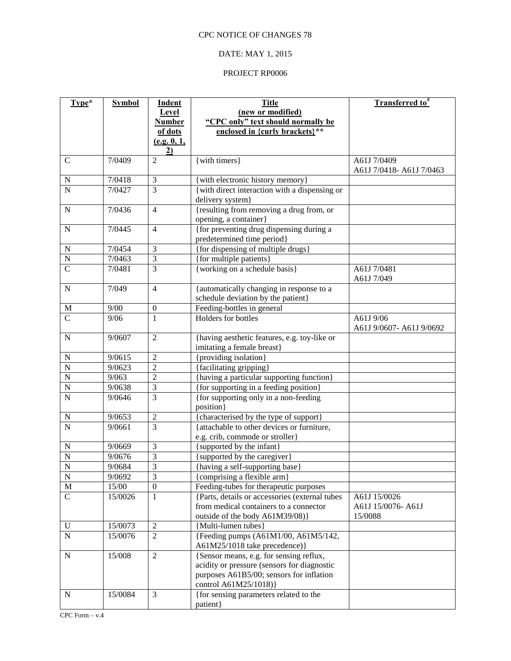### DATE: MAY 1, 2015

| Type*                            | <b>Symbol</b>   | <b>Indent</b><br>Level | <b>Title</b><br>(new or modified)                                               | <b>Transferred to</b> #  |
|----------------------------------|-----------------|------------------------|---------------------------------------------------------------------------------|--------------------------|
|                                  |                 | <b>Number</b>          | "CPC only" text should normally be                                              |                          |
|                                  |                 | of dots                | enclosed in {curly brackets}**                                                  |                          |
|                                  |                 | (e.g. 0, 1,<br>2)      |                                                                                 |                          |
| $\mathbf C$                      | 7/0409          | $\overline{2}$         | {with timers}                                                                   | A61J 7/0409              |
|                                  |                 |                        |                                                                                 | A61J 7/0418-A61J 7/0463  |
| ${\bf N}$                        | 7/0418          | $\overline{3}$         | {with electronic history memory}                                                |                          |
| $\overline{N}$                   | 7/0427          | $\overline{3}$         | {with direct interaction with a dispensing or                                   |                          |
|                                  |                 |                        | delivery system}                                                                |                          |
| ${\bf N}$                        | 7/0436          | $\overline{4}$         | {resulting from removing a drug from, or                                        |                          |
|                                  |                 |                        | opening, a container}                                                           |                          |
| ${\bf N}$                        | 7/0445          | $\overline{4}$         | {for preventing drug dispensing during a<br>predetermined time period}          |                          |
| ${\bf N}$                        | 7/0454          | 3                      | {for dispensing of multiple drugs}                                              |                          |
| $\overline{N}$                   | 7/0463          | 3                      | {for multiple patients}                                                         |                          |
| $\overline{C}$                   | 7/0481          | 3                      | {working on a schedule basis}                                                   | A61J 7/0481              |
|                                  |                 |                        |                                                                                 | A61J 7/049               |
| ${\bf N}$                        | 7/049           | $\overline{4}$         | {automatically changing in response to a                                        |                          |
|                                  |                 |                        | schedule deviation by the patient}                                              |                          |
| M                                | 9/00            | $\overline{0}$         | Feeding-bottles in general                                                      |                          |
| $\overline{C}$                   | 9/06            | $\mathbf{1}$           | Holders for bottles                                                             | A61J 9/06                |
|                                  |                 |                        |                                                                                 | A61J 9/0607- A61J 9/0692 |
| ${\bf N}$                        | 9/0607          | $\overline{2}$         | {having aesthetic features, e.g. toy-like or                                    |                          |
|                                  |                 |                        | imitating a female breast}                                                      |                          |
| $\mathbf N$                      | 9/0615          | $\overline{2}$         | {providing isolation}                                                           |                          |
| $\overline{N}$                   | 9/0623          | $\overline{2}$         | {facilitating gripping}                                                         |                          |
| $\overline{N}$<br>$\overline{N}$ | 9/063<br>9/0638 | $\overline{c}$<br>3    | {having a particular supporting function}                                       |                          |
| $\overline{N}$                   | 9/0646          | $\overline{3}$         | {for supporting in a feeding position}<br>{for supporting only in a non-feeding |                          |
|                                  |                 |                        | position                                                                        |                          |
| ${\bf N}$                        | 9/0653          | $\sqrt{2}$             | {characterised by the type of support}                                          |                          |
| $\overline{N}$                   | 9/0661          | $\overline{3}$         | {attachable to other devices or furniture,                                      |                          |
|                                  |                 |                        | e.g. crib, commode or stroller}                                                 |                          |
| ${\bf N}$                        | 9/0669          | $\mathfrak{Z}$         | {supported by the infant}                                                       |                          |
| $\overline{N}$                   | 9/0676          | $\overline{3}$         | {supported by the caregiver}                                                    |                          |
| $\overline{N}$                   | 9/0684          | $\overline{3}$         | {having a self-supporting base}                                                 |                          |
| ${\bf N}$                        | 9/0692          | $\mathfrak{Z}$         | {comprising a flexible arm}                                                     |                          |
| $\mathbf M$                      | 15/00           | $\boldsymbol{0}$       | Feeding-tubes for therapeutic purposes                                          |                          |
| $\mathbf C$                      | 15/0026         | $\mathbf{1}$           | {Parts, details or accessories (external tubes                                  | A61J 15/0026             |
|                                  |                 |                        | from medical containers to a connector                                          | A61J 15/0076- A61J       |
| $\mathbf U$                      | 15/0073         | $\overline{c}$         | outside of the body A61M39/08)}<br>{Multi-lumen tubes}                          | 15/0088                  |
| $\overline{N}$                   | 15/0076         | $\overline{2}$         | {Feeding pumps (A61M1/00, A61M5/142,                                            |                          |
|                                  |                 |                        | A61M25/1018 take precedence)}                                                   |                          |
| ${\bf N}$                        | 15/008          | $\overline{2}$         | {Sensor means, e.g. for sensing reflux,                                         |                          |
|                                  |                 |                        | acidity or pressure (sensors for diagnostic                                     |                          |
|                                  |                 |                        | purposes A61B5/00; sensors for inflation                                        |                          |
|                                  |                 |                        | control A61M25/1018)}                                                           |                          |
| ${\bf N}$                        | 15/0084         | 3                      | {for sensing parameters related to the                                          |                          |
|                                  |                 |                        | patient}                                                                        |                          |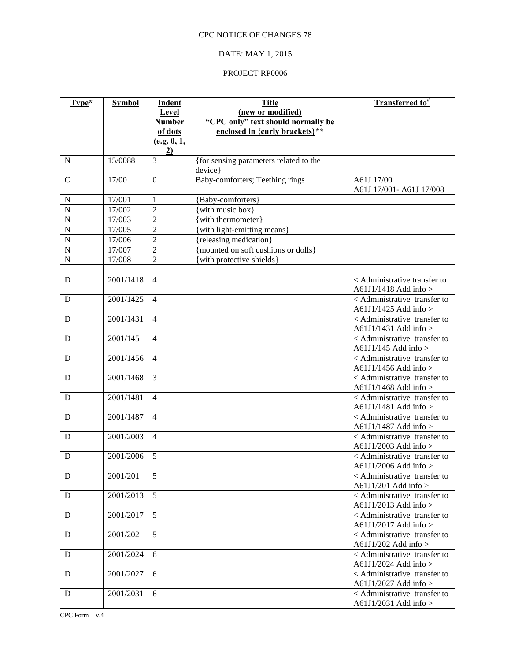### DATE: MAY 1, 2015

| Type*          | <b>Symbol</b> | <b>Indent</b>       | <b>Title</b>                           | Transferred to <sup>#</sup>                             |
|----------------|---------------|---------------------|----------------------------------------|---------------------------------------------------------|
|                |               | Level               | (new or modified)                      |                                                         |
|                |               | <b>Number</b>       | "CPC only" text should normally be     |                                                         |
|                |               | of dots             | enclosed in {curly brackets}**         |                                                         |
|                |               | (e.g. 0, 1,         |                                        |                                                         |
| ${\bf N}$      | 15/0088       | $\overline{2}$<br>3 | {for sensing parameters related to the |                                                         |
|                |               |                     | device}                                |                                                         |
| $\mathcal{C}$  | 17/00         | $\boldsymbol{0}$    | Baby-comforters; Teething rings        | A61J 17/00                                              |
|                |               |                     |                                        | A61J 17/001- A61J 17/008                                |
| $\mathbf N$    | 17/001        | $\mathbf{1}$        | {Baby-comforters}                      |                                                         |
| $\overline{N}$ | 17/002        | $\overline{2}$      | {with music box}                       |                                                         |
| $\overline{N}$ | 17/003        | $\overline{2}$      | {with thermometer}                     |                                                         |
| $\overline{N}$ | 17/005        | $\overline{2}$      | {with light-emitting means}            |                                                         |
| $\overline{N}$ | 17/006        | $\overline{2}$      | {releasing medication}                 |                                                         |
| $\overline{N}$ | 17/007        | $\overline{2}$      | {mounted on soft cushions or dolls}    |                                                         |
| $\overline{N}$ | 17/008        | $\overline{2}$      | {with protective shields}              |                                                         |
|                |               |                     |                                        |                                                         |
| D              | 2001/1418     | $\overline{4}$      |                                        | < Administrative transfer to<br>A61J1/1418 Add info >   |
| D              | 2001/1425     | $\overline{4}$      |                                        | < Administrative transfer to                            |
|                |               |                     |                                        | A61J1/1425 Add info $>$                                 |
| D              | 2001/1431     | $\overline{4}$      |                                        | < Administrative transfer to                            |
|                |               |                     |                                        | A61J1/1431 Add info >                                   |
| ${\bf D}$      | 2001/145      | $\overline{4}$      |                                        | < Administrative transfer to                            |
|                |               |                     |                                        | $A61J1/145$ Add info >                                  |
| D              | 2001/1456     | $\overline{4}$      |                                        | < Administrative transfer to<br>A61J1/1456 Add info >   |
| D              | 2001/1468     | 3                   |                                        | < Administrative transfer to                            |
|                |               |                     |                                        | A61J1/1468 Add info >                                   |
| ${\bf D}$      | 2001/1481     | $\overline{4}$      |                                        | < Administrative transfer to                            |
|                |               |                     |                                        | A61J1/1481 Add info >                                   |
| D              | 2001/1487     | $\overline{4}$      |                                        | < Administrative transfer to                            |
|                |               |                     |                                        | A61J1/1487 Add info >                                   |
| D              | 2001/2003     | $\overline{4}$      |                                        | < Administrative transfer to                            |
|                | 2001/2006     | 5                   |                                        | A61J1/2003 Add info ><br>< Administrative transfer to   |
| D              |               |                     |                                        | A61J1/2006 Add info >                                   |
| D              | 2001/201      | 5                   |                                        | < Administrative transfer to                            |
|                |               |                     |                                        | A61J1/201 Add info $>$                                  |
| D              | 2001/2013     | 5                   |                                        | < Administrative transfer to                            |
|                |               |                     |                                        | A61J1/2013 Add info $>$                                 |
| D              | 2001/2017     | 5                   |                                        | < Administrative transfer to                            |
|                |               |                     |                                        | A61J1/2017 Add info >                                   |
| D              | 2001/202      | 5                   |                                        | < Administrative transfer to                            |
|                |               |                     |                                        | A61J1/202 Add info $>$                                  |
| D              | 2001/2024     | 6                   |                                        | < Administrative transfer to                            |
|                |               |                     |                                        | A61J1/2024 Add info $>$                                 |
| D              | 2001/2027     | 6                   |                                        | < Administrative transfer to                            |
|                |               |                     |                                        | A61J1/2027 Add info >                                   |
| D              | 2001/2031     | 6                   |                                        | < Administrative transfer to<br>A61J1/2031 Add info $>$ |
|                |               |                     |                                        |                                                         |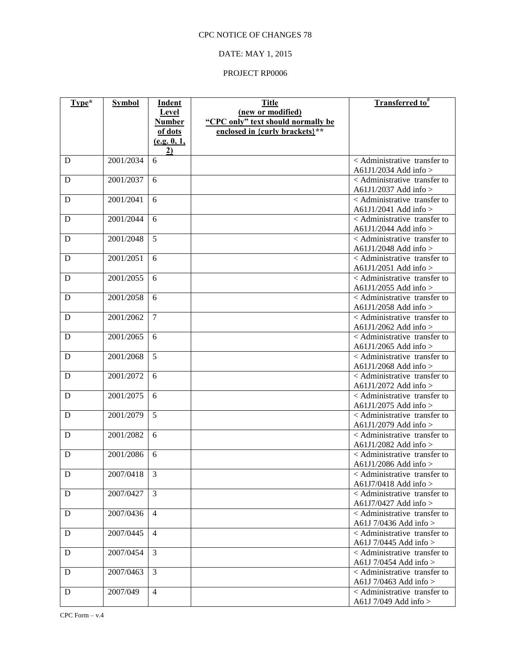### DATE: MAY 1, 2015

| Type* | <b>Symbol</b> | Indent            | <b>Title</b>                       | Transferred to <sup>#</sup>                                   |
|-------|---------------|-------------------|------------------------------------|---------------------------------------------------------------|
|       |               | Level             | (new or modified)                  |                                                               |
|       |               | <b>Number</b>     | "CPC only" text should normally be |                                                               |
|       |               | of dots           | enclosed in {curly brackets}**     |                                                               |
|       |               | (e.g. 0, 1,<br>2) |                                    |                                                               |
| D     | 2001/2034     | 6                 |                                    | < Administrative transfer to                                  |
|       |               |                   |                                    | A61J1/2034 Add info >                                         |
| D     | 2001/2037     | 6                 |                                    | < Administrative transfer to                                  |
|       |               |                   |                                    | A61J1/2037 Add info >                                         |
| D     | 2001/2041     | 6                 |                                    | < Administrative transfer to                                  |
|       |               |                   |                                    | A61J1/2041 Add info >                                         |
| D     | 2001/2044     | 6                 |                                    | < Administrative transfer to                                  |
|       |               |                   |                                    | A61J1/2044 Add info $>$                                       |
| D     | 2001/2048     | 5                 |                                    | < Administrative transfer to                                  |
| D     | 2001/2051     | 6                 |                                    | A61J1/2048 Add info ><br>< Administrative transfer to         |
|       |               |                   |                                    | A61J1/2051 Add info $>$                                       |
| D     | 2001/2055     | 6                 |                                    | < Administrative transfer to                                  |
|       |               |                   |                                    | A61J1/2055 Add info $>$                                       |
| D     | 2001/2058     | 6                 |                                    | < Administrative transfer to                                  |
|       |               |                   |                                    | A61J1/2058 Add info >                                         |
| D     | 2001/2062     | $\tau$            |                                    | < Administrative transfer to                                  |
|       |               |                   |                                    | A61J1/2062 Add info >                                         |
| D     | 2001/2065     | 6                 |                                    | $\leq$ Administrative transfer to                             |
|       |               |                   |                                    | A61J1/2065 Add info >                                         |
| D     | 2001/2068     | 5                 |                                    | < Administrative transfer to                                  |
|       |               |                   |                                    | A61J1/2068 Add info $>$                                       |
| D     | 2001/2072     | 6                 |                                    | < Administrative transfer to<br>A61J1/2072 Add info >         |
| D     | 2001/2075     | 6                 |                                    | < Administrative transfer to                                  |
|       |               |                   |                                    | A61J1/2075 Add info >                                         |
| D     | 2001/2079     | $\overline{5}$    |                                    | < Administrative transfer to                                  |
|       |               |                   |                                    | A61J1/2079 Add info >                                         |
| D     | 2001/2082     | 6                 |                                    | < Administrative transfer to                                  |
|       |               |                   |                                    | A61J1/2082 Add info >                                         |
| D     | 2001/2086     | 6                 |                                    | $\leq$ Administrative transfer to                             |
|       |               |                   |                                    | A61J1/2086 Add info $>$                                       |
| D     | 2007/0418     | 3                 |                                    | < Administrative transfer to                                  |
|       |               |                   |                                    | A61J7/0418 Add info $>$                                       |
| D     | 2007/0427     | $\overline{3}$    |                                    | < Administrative transfer to                                  |
|       |               |                   |                                    | A61J7/0427 Add info $>$                                       |
| D     | 2007/0436     | 4                 |                                    | $\leq$ Administrative transfer to<br>A61J 7/0436 Add info $>$ |
| D     | 2007/0445     | 4                 |                                    | < Administrative transfer to                                  |
|       |               |                   |                                    | A61J 7/0445 Add info >                                        |
| D     | 2007/0454     | 3                 |                                    | < Administrative transfer to                                  |
|       |               |                   |                                    | A61J 7/0454 Add info >                                        |
| D     | 2007/0463     | 3                 |                                    | $\overline{\leq}$ Administrative transfer to                  |
|       |               |                   |                                    | A61J 7/0463 Add info $>$                                      |
| D     | 2007/049      | 4                 |                                    | < Administrative transfer to                                  |
|       |               |                   |                                    | A61J 7/049 Add info $>$                                       |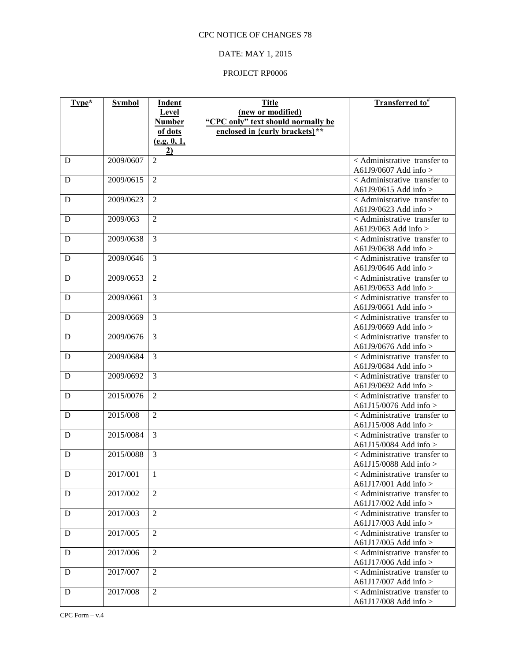### DATE: MAY 1, 2015

| Type*       | <b>Symbol</b> | Indent         | <b>Title</b>                       | Transferred to <sup>#</sup>                                 |
|-------------|---------------|----------------|------------------------------------|-------------------------------------------------------------|
|             |               | Level          | (new or modified)                  |                                                             |
|             |               | <b>Number</b>  | "CPC only" text should normally be |                                                             |
|             |               | of dots        | enclosed in {curly brackets}**     |                                                             |
|             |               | (e.g. 0, 1,    |                                    |                                                             |
|             |               | $\overline{2}$ |                                    |                                                             |
| D           | 2009/0607     | $\overline{2}$ |                                    | < Administrative transfer to                                |
|             |               |                |                                    | A61J9/0607 Add info >                                       |
| $\mathbf D$ | 2009/0615     | $\overline{2}$ |                                    | < Administrative transfer to                                |
|             |               |                |                                    | A61J9/0615 Add info >                                       |
| D           | 2009/0623     | $\overline{2}$ |                                    | < Administrative transfer to                                |
|             |               |                |                                    | A61J9/0623 Add info >                                       |
| D           | 2009/063      | $\overline{2}$ |                                    | < Administrative transfer to                                |
|             |               | $\overline{3}$ |                                    | A61J9/063 Add info >                                        |
| D           | 2009/0638     |                |                                    | < Administrative transfer to<br>A61J9/0638 Add info >       |
| D           | 2009/0646     | 3              |                                    | < Administrative transfer to                                |
|             |               |                |                                    | A61J9/0646 Add info $>$                                     |
| ${\bf D}$   | 2009/0653     | $\overline{2}$ |                                    | < Administrative transfer to                                |
|             |               |                |                                    | A61J9/0653 Add info >                                       |
| ${\bf D}$   | 2009/0661     | 3              |                                    | < Administrative transfer to                                |
|             |               |                |                                    | A61J9/0661 Add info $>$                                     |
| D           | 2009/0669     | 3              |                                    | < Administrative transfer to                                |
|             |               |                |                                    | A61J9/0669 Add info >                                       |
| D           | 2009/0676     | $\overline{3}$ |                                    | < Administrative transfer to                                |
|             |               |                |                                    | A61J9/0676 Add info >                                       |
| D           | 2009/0684     | 3              |                                    | < Administrative transfer to                                |
|             |               |                |                                    | A61J9/0684 Add info >                                       |
| D           | 2009/0692     | 3              |                                    | < Administrative transfer to                                |
|             |               |                |                                    | A61J9/0692 Add info $>$                                     |
| D           | 2015/0076     | $\overline{2}$ |                                    | < Administrative transfer to                                |
|             |               |                |                                    | A61J15/0076 Add info >                                      |
| D           | 2015/008      | $\overline{2}$ |                                    | < Administrative transfer to                                |
|             |               |                |                                    | A61J15/008 Add info >                                       |
| D           | 2015/0084     | $\overline{3}$ |                                    | < Administrative transfer to                                |
|             |               |                |                                    | A61J15/0084 Add info >                                      |
| D           | 2015/0088     | 3              |                                    | $\leq$ Administrative transfer to<br>A61J15/0088 Add info > |
| D           | 2017/001      | 1              |                                    | < Administrative transfer to                                |
|             |               |                |                                    | A61J17/001 Add info >                                       |
| D           | 2017/002      | 2              |                                    | < Administrative transfer to                                |
|             |               |                |                                    | A61J17/002 Add info $>$                                     |
| D           | 2017/003      | $\overline{2}$ |                                    | < Administrative transfer to                                |
|             |               |                |                                    | A61J17/003 Add info $>$                                     |
| D           | 2017/005      | $\overline{2}$ |                                    | < Administrative transfer to                                |
|             |               |                |                                    | A61J17/005 Add info >                                       |
| D           | 2017/006      | 2              |                                    | $\leq$ Administrative transfer to                           |
|             |               |                |                                    | A61J17/006 Add info $>$                                     |
| D           | 2017/007      | $\overline{2}$ |                                    | < Administrative transfer to                                |
|             |               |                |                                    | A61J17/007 Add info >                                       |
| ${\bf D}$   | 2017/008      | $\overline{2}$ |                                    | < Administrative transfer to                                |
|             |               |                |                                    | A61J17/008 Add info >                                       |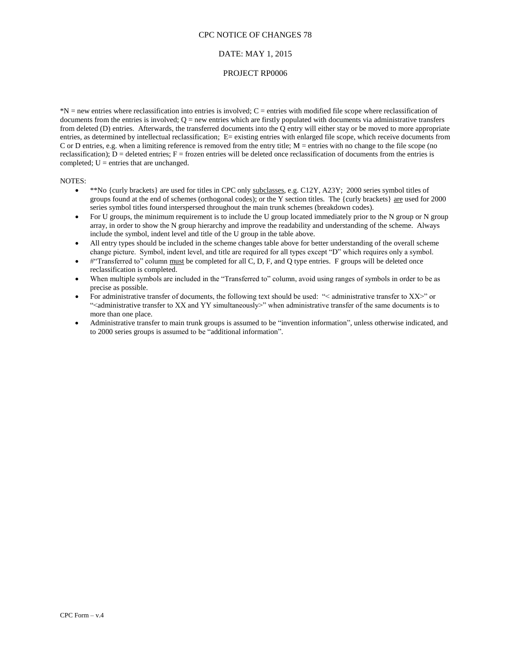#### DATE: MAY 1, 2015

#### PROJECT RP0006

\*N = new entries where reclassification into entries is involved; C = entries with modified file scope where reclassification of documents from the entries is involved;  $Q =$  new entries which are firstly populated with documents via administrative transfers from deleted (D) entries. Afterwards, the transferred documents into the Q entry will either stay or be moved to more appropriate entries, as determined by intellectual reclassification; E= existing entries with enlarged file scope, which receive documents from C or D entries, e.g. when a limiting reference is removed from the entry title; M = entries with no change to the file scope (no reclassification);  $D =$  deleted entries;  $F =$  frozen entries will be deleted once reclassification of documents from the entries is completed;  $U =$  entries that are unchanged.

#### NOTES:

- \*\*No {curly brackets} are used for titles in CPC only subclasses, e.g. C12Y, A23Y; 2000 series symbol titles of groups found at the end of schemes (orthogonal codes); or the Y section titles. The {curly brackets} are used for 2000 series symbol titles found interspersed throughout the main trunk schemes (breakdown codes).
- For U groups, the minimum requirement is to include the U group located immediately prior to the N group or N group array, in order to show the N group hierarchy and improve the readability and understanding of the scheme. Always include the symbol, indent level and title of the U group in the table above.
- All entry types should be included in the scheme changes table above for better understanding of the overall scheme change picture. Symbol, indent level, and title are required for all types except "D" which requires only a symbol.
- #"Transferred to" column must be completed for all C, D, F, and Q type entries. F groups will be deleted once reclassification is completed.
- When multiple symbols are included in the "Transferred to" column, avoid using ranges of symbols in order to be as precise as possible.
- For administrative transfer of documents, the following text should be used: "< administrative transfer to XX>" or "<administrative transfer to XX and YY simultaneously>" when administrative transfer of the same documents is to more than one place.
- Administrative transfer to main trunk groups is assumed to be "invention information", unless otherwise indicated, and to 2000 series groups is assumed to be "additional information".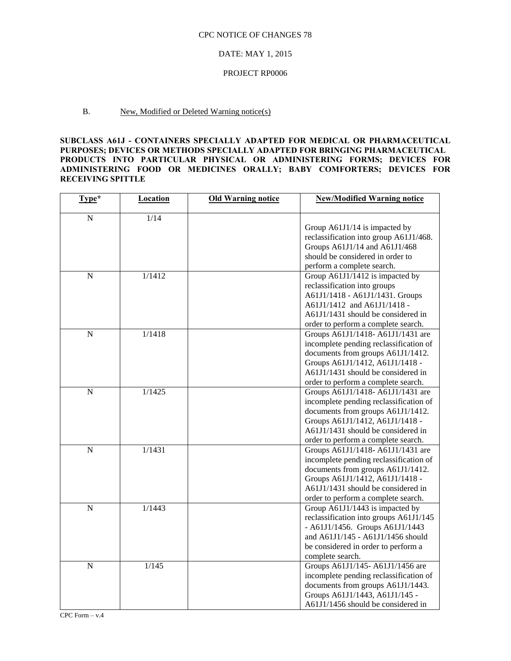#### DATE: MAY 1, 2015

#### PROJECT RP0006

#### B. New, Modified or Deleted Warning notice(s)

#### **SUBCLASS A61J - CONTAINERS SPECIALLY ADAPTED FOR MEDICAL OR PHARMACEUTICAL PURPOSES; DEVICES OR METHODS SPECIALLY ADAPTED FOR BRINGING PHARMACEUTICAL PRODUCTS INTO PARTICULAR PHYSICAL OR ADMINISTERING FORMS; DEVICES FOR ADMINISTERING FOOD OR MEDICINES ORALLY; BABY COMFORTERS; DEVICES FOR RECEIVING SPITTLE**

| Type*          | Location | <b>Old Warning notice</b> | <b>New/Modified Warning notice</b>                                                                                                                                                                                              |
|----------------|----------|---------------------------|---------------------------------------------------------------------------------------------------------------------------------------------------------------------------------------------------------------------------------|
| $\mathbf N$    | 1/14     |                           | Group A61J1/14 is impacted by<br>reclassification into group A61J1/468.<br>Groups A61J1/14 and A61J1/468<br>should be considered in order to<br>perform a complete search.                                                      |
| $\overline{N}$ | 1/1412   |                           | Group A61J1/1412 is impacted by<br>reclassification into groups<br>A61J1/1418 - A61J1/1431. Groups<br>A61J1/1412 and A61J1/1418 -<br>A61J1/1431 should be considered in<br>order to perform a complete search.                  |
| $\mathbf N$    | 1/1418   |                           | Groups A61J1/1418-A61J1/1431 are<br>incomplete pending reclassification of<br>documents from groups A61J1/1412.<br>Groups A61J1/1412, A61J1/1418 -<br>A61J1/1431 should be considered in<br>order to perform a complete search. |
| $\overline{N}$ | 1/1425   |                           | Groups A61J1/1418-A61J1/1431 are<br>incomplete pending reclassification of<br>documents from groups A61J1/1412.<br>Groups A61J1/1412, A61J1/1418 -<br>A61J1/1431 should be considered in<br>order to perform a complete search. |
| $\mathbf N$    | 1/1431   |                           | Groups A61J1/1418-A61J1/1431 are<br>incomplete pending reclassification of<br>documents from groups A61J1/1412.<br>Groups A61J1/1412, A61J1/1418 -<br>A61J1/1431 should be considered in<br>order to perform a complete search. |
| $\mathbf N$    | 1/1443   |                           | Group A61J1/1443 is impacted by<br>reclassification into groups A61J1/145<br>- A61J1/1456. Groups A61J1/1443<br>and A61J1/145 - A61J1/1456 should<br>be considered in order to perform a<br>complete search.                    |
| $\mathbf N$    | 1/145    |                           | Groups A61J1/145-A61J1/1456 are<br>incomplete pending reclassification of<br>documents from groups A61J1/1443.<br>Groups A61J1/1443, A61J1/145 -<br>A61J1/1456 should be considered in                                          |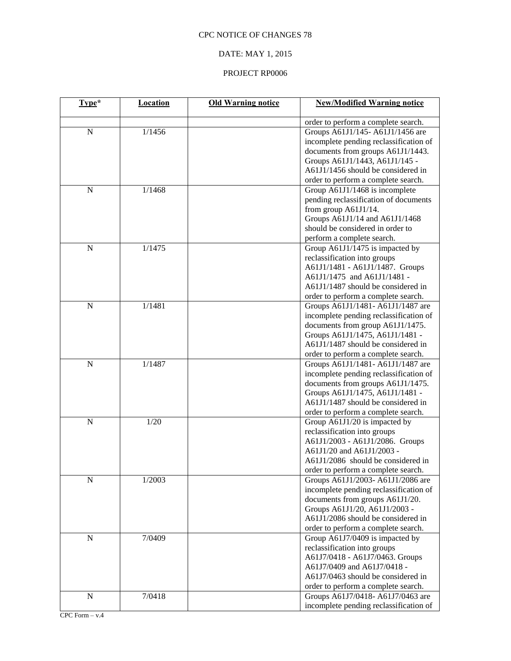# DATE: MAY 1, 2015

| Type*          | <b>Location</b> | <b>Old Warning notice</b> | <b>New/Modified Warning notice</b>     |
|----------------|-----------------|---------------------------|----------------------------------------|
|                |                 |                           | order to perform a complete search.    |
| $\overline{N}$ | 1/1456          |                           | Groups A61J1/145-A61J1/1456 are        |
|                |                 |                           | incomplete pending reclassification of |
|                |                 |                           | documents from groups A61J1/1443.      |
|                |                 |                           | Groups A61J1/1443, A61J1/145 -         |
|                |                 |                           | A61J1/1456 should be considered in     |
|                |                 |                           | order to perform a complete search.    |
| $\overline{N}$ | 1/1468          |                           | Group A61J1/1468 is incomplete         |
|                |                 |                           | pending reclassification of documents  |
|                |                 |                           | from group A61J1/14.                   |
|                |                 |                           | Groups A61J1/14 and A61J1/1468         |
|                |                 |                           | should be considered in order to       |
|                |                 |                           | perform a complete search.             |
| $\overline{N}$ | 1/1475          |                           | Group A61J1/1475 is impacted by        |
|                |                 |                           | reclassification into groups           |
|                |                 |                           | A61J1/1481 - A61J1/1487. Groups        |
|                |                 |                           | A61J1/1475 and A61J1/1481 -            |
|                |                 |                           | A61J1/1487 should be considered in     |
|                |                 |                           | order to perform a complete search.    |
| $\overline{N}$ | 1/1481          |                           | Groups A61J1/1481-A61J1/1487 are       |
|                |                 |                           | incomplete pending reclassification of |
|                |                 |                           | documents from group A61J1/1475.       |
|                |                 |                           | Groups A61J1/1475, A61J1/1481 -        |
|                |                 |                           | A61J1/1487 should be considered in     |
|                |                 |                           | order to perform a complete search.    |
| ${\bf N}$      | 1/1487          |                           | Groups A61J1/1481-A61J1/1487 are       |
|                |                 |                           | incomplete pending reclassification of |
|                |                 |                           | documents from groups A61J1/1475.      |
|                |                 |                           | Groups A61J1/1475, A61J1/1481 -        |
|                |                 |                           | A61J1/1487 should be considered in     |
|                |                 |                           | order to perform a complete search.    |
| $\overline{N}$ | 1/20            |                           | Group A61J1/20 is impacted by          |
|                |                 |                           | reclassification into groups           |
|                |                 |                           | A61J1/2003 - A61J1/2086. Groups        |
|                |                 |                           | A61J1/20 and A61J1/2003 -              |
|                |                 |                           | A61J1/2086 should be considered in     |
|                |                 |                           | order to perform a complete search     |
| $\overline{N}$ | 1/2003          |                           | Groups A61J1/2003- A61J1/2086 are      |
|                |                 |                           | incomplete pending reclassification of |
|                |                 |                           | documents from groups A61J1/20.        |
|                |                 |                           | Groups A61J1/20, A61J1/2003 -          |
|                |                 |                           | A61J1/2086 should be considered in     |
|                |                 |                           | order to perform a complete search.    |
| ${\bf N}$      | 7/0409          |                           | Group A61J7/0409 is impacted by        |
|                |                 |                           | reclassification into groups           |
|                |                 |                           | A61J7/0418 - A61J7/0463. Groups        |
|                |                 |                           | A61J7/0409 and A61J7/0418 -            |
|                |                 |                           | A61J7/0463 should be considered in     |
|                |                 |                           | order to perform a complete search.    |
| ${\bf N}$      | 7/0418          |                           | Groups A61J7/0418-A61J7/0463 are       |
|                |                 |                           | incomplete pending reclassification of |
|                |                 |                           |                                        |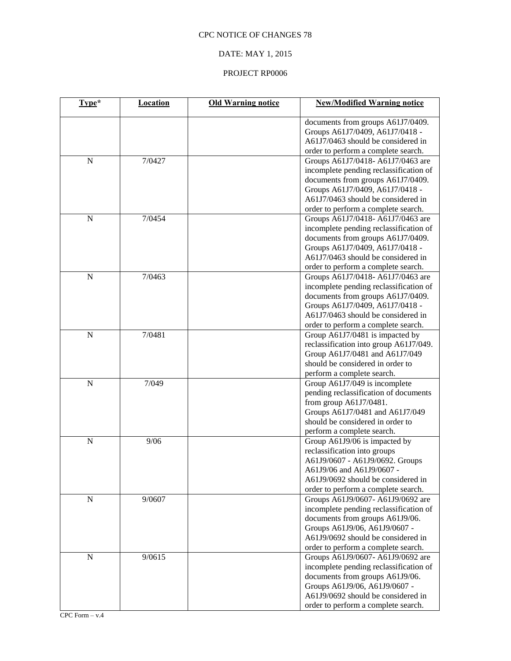# DATE: MAY 1, 2015

| Type*          | <b>Location</b> | <b>Old Warning notice</b> | <b>New/Modified Warning notice</b>     |
|----------------|-----------------|---------------------------|----------------------------------------|
|                |                 |                           |                                        |
|                |                 |                           | documents from groups A61J7/0409.      |
|                |                 |                           | Groups A61J7/0409, A61J7/0418 -        |
|                |                 |                           | A61J7/0463 should be considered in     |
|                |                 |                           | order to perform a complete search.    |
| $\overline{N}$ | 7/0427          |                           | Groups A61J7/0418-A61J7/0463 are       |
|                |                 |                           | incomplete pending reclassification of |
|                |                 |                           | documents from groups A61J7/0409.      |
|                |                 |                           | Groups A61J7/0409, A61J7/0418 -        |
|                |                 |                           | A61J7/0463 should be considered in     |
|                |                 |                           | order to perform a complete search.    |
| $\mathbf N$    | 7/0454          |                           | Groups A61J7/0418-A61J7/0463 are       |
|                |                 |                           | incomplete pending reclassification of |
|                |                 |                           | documents from groups A61J7/0409.      |
|                |                 |                           | Groups A61J7/0409, A61J7/0418 -        |
|                |                 |                           | A61J7/0463 should be considered in     |
|                |                 |                           | order to perform a complete search.    |
| $\overline{N}$ | 7/0463          |                           | Groups A61J7/0418-A61J7/0463 are       |
|                |                 |                           | incomplete pending reclassification of |
|                |                 |                           | documents from groups A61J7/0409.      |
|                |                 |                           | Groups A61J7/0409, A61J7/0418 -        |
|                |                 |                           | A61J7/0463 should be considered in     |
|                |                 |                           | order to perform a complete search.    |
| $\mathbf N$    | 7/0481          |                           | Group A61J7/0481 is impacted by        |
|                |                 |                           | reclassification into group A61J7/049. |
|                |                 |                           | Group A61J7/0481 and A61J7/049         |
|                |                 |                           | should be considered in order to       |
|                |                 |                           | perform a complete search.             |
| $\overline{N}$ | 7/049           |                           | Group A61J7/049 is incomplete          |
|                |                 |                           | pending reclassification of documents  |
|                |                 |                           | from group A61J7/0481.                 |
|                |                 |                           | Groups A61J7/0481 and A61J7/049        |
|                |                 |                           | should be considered in order to       |
|                |                 |                           | perform a complete search.             |
| N              | 9/06            |                           | Group A61J9/06 is impacted by          |
|                |                 |                           | reclassification into groups           |
|                |                 |                           | A61J9/0607 - A61J9/0692. Groups        |
|                |                 |                           | A61J9/06 and A61J9/0607 -              |
|                |                 |                           | A61J9/0692 should be considered in     |
|                |                 |                           | order to perform a complete search.    |
| ${\bf N}$      | 9/0607          |                           | Groups A61J9/0607- A61J9/0692 are      |
|                |                 |                           | incomplete pending reclassification of |
|                |                 |                           | documents from groups A61J9/06.        |
|                |                 |                           | Groups A61J9/06, A61J9/0607 -          |
|                |                 |                           | A61J9/0692 should be considered in     |
|                |                 |                           | order to perform a complete search.    |
| ${\bf N}$      | 9/0615          |                           | Groups A61J9/0607- A61J9/0692 are      |
|                |                 |                           | incomplete pending reclassification of |
|                |                 |                           | documents from groups A61J9/06.        |
|                |                 |                           | Groups A61J9/06, A61J9/0607 -          |
|                |                 |                           | A61J9/0692 should be considered in     |
|                |                 |                           | order to perform a complete search.    |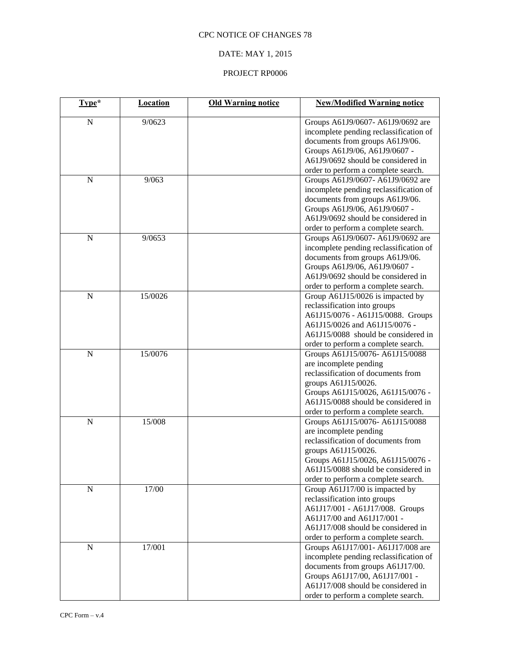### DATE: MAY 1, 2015

| Type*       | <b>Location</b> | <b>Old Warning notice</b> | <b>New/Modified Warning notice</b>                                                                                                                                                    |
|-------------|-----------------|---------------------------|---------------------------------------------------------------------------------------------------------------------------------------------------------------------------------------|
| N           | 9/0623          |                           | Groups A61J9/0607- A61J9/0692 are<br>incomplete pending reclassification of<br>documents from groups A61J9/06.<br>Groups A61J9/06, A61J9/0607 -<br>A61J9/0692 should be considered in |
|             |                 |                           | order to perform a complete search.                                                                                                                                                   |
| $\mathbf N$ | 9/063           |                           | Groups A61J9/0607- A61J9/0692 are                                                                                                                                                     |
|             |                 |                           | incomplete pending reclassification of                                                                                                                                                |
|             |                 |                           | documents from groups A61J9/06.                                                                                                                                                       |
|             |                 |                           | Groups A61J9/06, A61J9/0607 -                                                                                                                                                         |
|             |                 |                           | A61J9/0692 should be considered in                                                                                                                                                    |
| N           |                 |                           | order to perform a complete search.                                                                                                                                                   |
|             | 9/0653          |                           | Groups A61J9/0607- A61J9/0692 are<br>incomplete pending reclassification of                                                                                                           |
|             |                 |                           | documents from groups A61J9/06.                                                                                                                                                       |
|             |                 |                           | Groups A61J9/06, A61J9/0607 -                                                                                                                                                         |
|             |                 |                           | A61J9/0692 should be considered in                                                                                                                                                    |
|             |                 |                           | order to perform a complete search.                                                                                                                                                   |
| $\mathbf N$ | 15/0026         |                           | Group A61J15/0026 is impacted by                                                                                                                                                      |
|             |                 |                           | reclassification into groups                                                                                                                                                          |
|             |                 |                           | A61J15/0076 - A61J15/0088. Groups                                                                                                                                                     |
|             |                 |                           | A61J15/0026 and A61J15/0076 -                                                                                                                                                         |
|             |                 |                           | A61J15/0088 should be considered in                                                                                                                                                   |
|             |                 |                           | order to perform a complete search.                                                                                                                                                   |
| $\mathbf N$ | 15/0076         |                           | Groups A61J15/0076-A61J15/0088                                                                                                                                                        |
|             |                 |                           | are incomplete pending                                                                                                                                                                |
|             |                 |                           | reclassification of documents from                                                                                                                                                    |
|             |                 |                           | groups A61J15/0026.                                                                                                                                                                   |
|             |                 |                           | Groups A61J15/0026, A61J15/0076 -                                                                                                                                                     |
|             |                 |                           | A61J15/0088 should be considered in                                                                                                                                                   |
|             |                 |                           | order to perform a complete search.                                                                                                                                                   |
| N           | 15/008          |                           | Groups A61J15/0076-A61J15/0088                                                                                                                                                        |
|             |                 |                           | are incomplete pending<br>reclassification of documents from                                                                                                                          |
|             |                 |                           | groups A61J15/0026.                                                                                                                                                                   |
|             |                 |                           | Groups A61J15/0026, A61J15/0076 -                                                                                                                                                     |
|             |                 |                           | A61J15/0088 should be considered in                                                                                                                                                   |
|             |                 |                           | order to perform a complete search.                                                                                                                                                   |
| $\mathbf N$ | 17/00           |                           | Group A61J17/00 is impacted by                                                                                                                                                        |
|             |                 |                           | reclassification into groups                                                                                                                                                          |
|             |                 |                           | A61J17/001 - A61J17/008. Groups                                                                                                                                                       |
|             |                 |                           | A61J17/00 and A61J17/001 -                                                                                                                                                            |
|             |                 |                           | A61J17/008 should be considered in                                                                                                                                                    |
|             |                 |                           | order to perform a complete search.                                                                                                                                                   |
| $\mathbf N$ | 17/001          |                           | Groups A61J17/001-A61J17/008 are                                                                                                                                                      |
|             |                 |                           | incomplete pending reclassification of                                                                                                                                                |
|             |                 |                           | documents from groups A61J17/00.                                                                                                                                                      |
|             |                 |                           | Groups A61J17/00, A61J17/001 -                                                                                                                                                        |
|             |                 |                           | A61J17/008 should be considered in                                                                                                                                                    |
|             |                 |                           | order to perform a complete search.                                                                                                                                                   |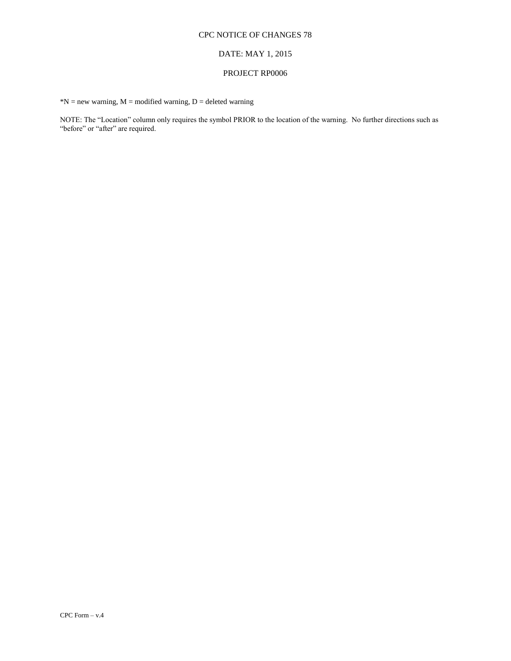### DATE: MAY 1, 2015

#### PROJECT RP0006

 $N = new warning, M = modified warning, D = deleted warning$ 

NOTE: The "Location" column only requires the symbol PRIOR to the location of the warning. No further directions such as "before" or "after" are required.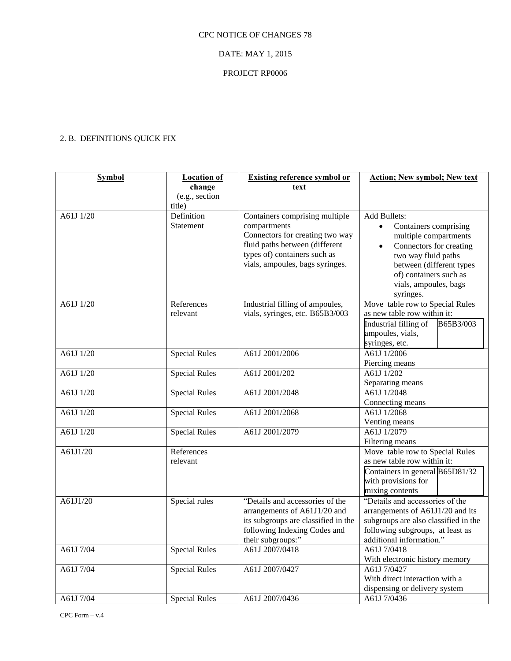### DATE: MAY 1, 2015

### PROJECT RP0006

# 2. B. DEFINITIONS QUICK FIX

| Symbol                | <b>Location</b> of   | <b>Existing reference symbol or</b>                            | <b>Action; New symbol; New text</b>                |
|-----------------------|----------------------|----------------------------------------------------------------|----------------------------------------------------|
|                       | change               | text                                                           |                                                    |
|                       | (e.g., section       |                                                                |                                                    |
|                       | title)               |                                                                |                                                    |
| A61J 1/20             | Definition           | Containers comprising multiple                                 | <b>Add Bullets:</b>                                |
|                       | Statement            | compartments                                                   | Containers comprising<br>$\bullet$                 |
|                       |                      | Connectors for creating two way                                | multiple compartments                              |
|                       |                      | fluid paths between (different<br>types of) containers such as | Connectors for creating                            |
|                       |                      | vials, ampoules, bags syringes.                                | two way fluid paths                                |
|                       |                      |                                                                | between (different types<br>of) containers such as |
|                       |                      |                                                                | vials, ampoules, bags                              |
|                       |                      |                                                                | syringes.                                          |
| A61J 1/20             | References           | Industrial filling of ampoules,                                | Move table row to Special Rules                    |
|                       | relevant             | vials, syringes, etc. B65B3/003                                | as new table row within it:                        |
|                       |                      |                                                                | Industrial filling of<br>B65B3/003                 |
|                       |                      |                                                                | ampoules, vials,                                   |
|                       |                      |                                                                | syringes, etc.                                     |
| A61J 1/20             | <b>Special Rules</b> | A61J 2001/2006                                                 | A61J 1/2006                                        |
|                       |                      |                                                                | Piercing means                                     |
| A61J 1/20             | <b>Special Rules</b> | A61J 2001/202                                                  | A61J 1/202                                         |
|                       |                      |                                                                | Separating means                                   |
| A61J 1/20             | <b>Special Rules</b> | A61J 2001/2048                                                 | A61J 1/2048                                        |
|                       |                      |                                                                | Connecting means                                   |
| A61J 1/20             | <b>Special Rules</b> | A61J 2001/2068                                                 | A61J 1/2068                                        |
|                       |                      |                                                                | Venting means                                      |
| A61J 1/20             | <b>Special Rules</b> | A61J 2001/2079                                                 | A61J 1/2079                                        |
| $\overline{A61J1/20}$ | References           |                                                                | Filtering means<br>Move table row to Special Rules |
|                       | relevant             |                                                                | as new table row within it:                        |
|                       |                      |                                                                | Containers in general B65D81/32                    |
|                       |                      |                                                                | with provisions for                                |
|                       |                      |                                                                | mixing contents                                    |
| A61J1/20              | Special rules        | "Details and accessories of the                                | "Details and accessories of the                    |
|                       |                      | arrangements of A61J1/20 and                                   | arrangements of A61J1/20 and its                   |
|                       |                      | its subgroups are classified in the                            | subgroups are also classified in the               |
|                       |                      | following Indexing Codes and                                   | following subgroups, at least as                   |
|                       |                      | their subgroups:"                                              | additional information."                           |
| A61J 7/04             | <b>Special Rules</b> | A61J 2007/0418                                                 | A61J 7/0418                                        |
|                       |                      |                                                                | With electronic history memory                     |
| A61J 7/04             | <b>Special Rules</b> | A61J 2007/0427                                                 | A61J 7/0427                                        |
|                       |                      |                                                                | With direct interaction with a                     |
|                       |                      |                                                                | dispensing or delivery system                      |
| A61J 7/04             | <b>Special Rules</b> | A61J 2007/0436                                                 | A61J 7/0436                                        |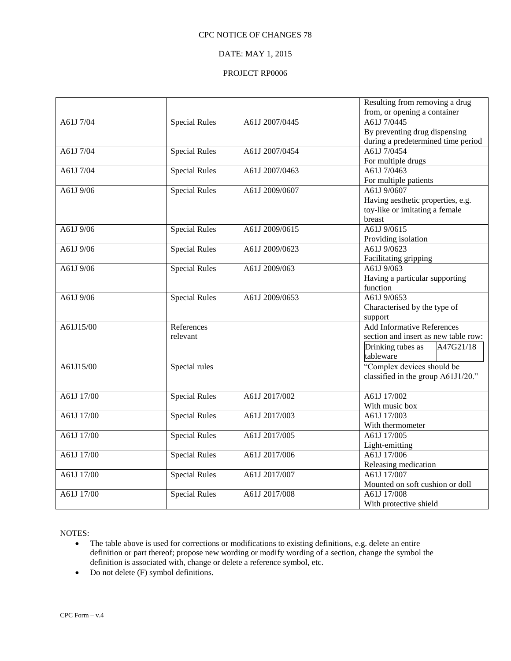### DATE: MAY 1, 2015

#### PROJECT RP0006

|            |                      |                | Resulting from removing a drug       |
|------------|----------------------|----------------|--------------------------------------|
|            |                      |                | from, or opening a container         |
| A61J 7/04  | <b>Special Rules</b> | A61J 2007/0445 | A61J 7/0445                          |
|            |                      |                | By preventing drug dispensing        |
|            |                      |                | during a predetermined time period   |
| A61J 7/04  | <b>Special Rules</b> | A61J 2007/0454 | A61J 7/0454                          |
|            |                      |                | For multiple drugs                   |
| A61J 7/04  | <b>Special Rules</b> | A61J 2007/0463 | A61J 7/0463                          |
|            |                      |                | For multiple patients                |
| A61J 9/06  | <b>Special Rules</b> | A61J 2009/0607 | A61J 9/0607                          |
|            |                      |                | Having aesthetic properties, e.g.    |
|            |                      |                | toy-like or imitating a female       |
|            |                      |                | breast                               |
| A61J 9/06  | <b>Special Rules</b> | A61J 2009/0615 | A61J 9/0615                          |
|            |                      |                | Providing isolation                  |
| A61J 9/06  | <b>Special Rules</b> | A61J 2009/0623 | A61J 9/0623                          |
|            |                      |                | Facilitating gripping                |
| A61J 9/06  | <b>Special Rules</b> | A61J 2009/063  | A61J 9/063                           |
|            |                      |                | Having a particular supporting       |
|            |                      |                | function                             |
| A61J 9/06  | <b>Special Rules</b> | A61J 2009/0653 | A61J 9/0653                          |
|            |                      |                | Characterised by the type of         |
|            |                      |                | support                              |
| A61J15/00  | References           |                | <b>Add Informative References</b>    |
|            | relevant             |                | section and insert as new table row: |
|            |                      |                | Drinking tubes as<br>A47G21/18       |
|            |                      |                | tableware                            |
| A61J15/00  | Special rules        |                | "Complex devices should be           |
|            |                      |                | classified in the group A61J1/20."   |
|            |                      |                |                                      |
| A61J 17/00 | <b>Special Rules</b> | A61J 2017/002  | A61J 17/002                          |
|            |                      |                | With music box                       |
| A61J 17/00 | <b>Special Rules</b> | A61J 2017/003  | A61J 17/003                          |
|            |                      |                | With thermometer                     |
| A61J 17/00 | <b>Special Rules</b> | A61J 2017/005  | A61J 17/005                          |
|            |                      |                | Light-emitting                       |
| A61J 17/00 | <b>Special Rules</b> | A61J 2017/006  | A61J 17/006                          |
|            |                      |                | Releasing medication                 |
| A61J 17/00 | <b>Special Rules</b> | A61J 2017/007  | A61J 17/007                          |
|            |                      |                | Mounted on soft cushion or doll      |
| A61J 17/00 | <b>Special Rules</b> | A61J 2017/008  | A61J 17/008                          |
|            |                      |                | With protective shield               |

NOTES:

- The table above is used for corrections or modifications to existing definitions, e.g. delete an entire definition or part thereof; propose new wording or modify wording of a section, change the symbol the definition is associated with, change or delete a reference symbol, etc.
- $\bullet$  Do not delete (F) symbol definitions.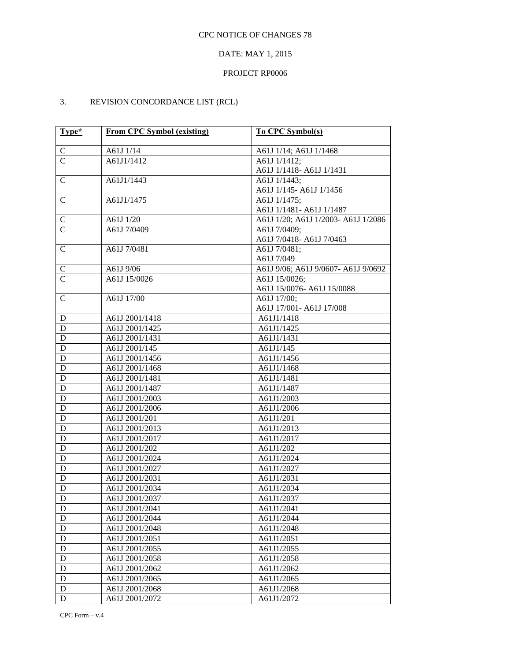### DATE: MAY 1, 2015

### PROJECT RP0006

# 3. REVISION CONCORDANCE LIST (RCL)

| Type*          | <b>From CPC Symbol (existing)</b> | <b>To CPC Symbol(s)</b>             |
|----------------|-----------------------------------|-------------------------------------|
|                |                                   |                                     |
| $\mathsf{C}$   | A61J 1/14                         | A61J 1/14; A61J 1/1468              |
| $\overline{C}$ | A61J1/1412                        | A61J 1/1412;                        |
|                |                                   | A61J 1/1418-A61J 1/1431             |
| $\mathbf C$    | A61J1/1443                        | A61J 1/1443;                        |
|                |                                   | A61J 1/145- A61J 1/1456             |
| $\mathcal{C}$  | A61J1/1475                        | A61J 1/1475;                        |
|                |                                   | A61J 1/1481- A61J 1/1487            |
| $\mathsf{C}$   | A61J $1/20$                       | A61J 1/20; A61J 1/2003- A61J 1/2086 |
| $\overline{C}$ | A61J 7/0409                       | A61J 7/0409;                        |
|                |                                   | A61J 7/0418- A61J 7/0463            |
| $\mathsf{C}$   | A61J 7/0481                       | A61J 7/0481;                        |
|                |                                   | A61J 7/049                          |
| C              | A61J 9/06                         | A61J 9/06; A61J 9/0607- A61J 9/0692 |
| $\mathcal{C}$  | A61J 15/0026                      | A61J 15/0026;                       |
|                |                                   | A61J 15/0076- A61J 15/0088          |
| $\mathsf{C}$   | A61J 17/00                        | A61J 17/00;                         |
|                |                                   | A61J 17/001- A61J 17/008            |
| D              | A61J 2001/1418                    | A61J1/1418                          |
| D              | A61J 2001/1425                    | A61J1/1425                          |
| D              | A61J 2001/1431                    | A61J1/1431                          |
| D              | A61J 2001/145                     | A61J1/145                           |
| D              | A61J 2001/1456                    | A61J1/1456                          |
| D              | A61J 2001/1468                    | A61J1/1468                          |
| D              | A61J 2001/1481                    | A61J1/1481                          |
| D              | A61J 2001/1487                    | A61J1/1487                          |
| D              | A61J 2001/2003                    | A61J1/2003                          |
| D              | A61J 2001/2006                    | A61J1/2006                          |
| D              | A61J 2001/201                     | A61J1/201                           |
| D              | A61J 2001/2013                    | A61J1/2013                          |
| D              | A61J 2001/2017                    | A61J1/2017                          |
| D              | A61J 2001/202                     | A61J1/202                           |
| D              | A61J 2001/2024                    | A61J1/2024                          |
| D              | A61J 2001/2027                    | A61J1/2027                          |
| D              | A61J 2001/2031                    | A61J1/2031                          |
| D              | A61J 2001/2034                    | A61J1/2034                          |
| D              | A61J 2001/2037                    | A61J1/2037                          |
| D              | A61J 2001/2041                    | A61J1/2041                          |
| D              | A61J 2001/2044                    | A61J1/2044                          |
| D              | A61J 2001/2048                    | A61J1/2048                          |
| D              | A61J 2001/2051                    | A61J1/2051                          |
| D              | A61J 2001/2055                    | A61J1/2055                          |
| D              | A61J 2001/2058                    | A61J1/2058                          |
| D              | A61J 2001/2062                    | A61J1/2062                          |
| D              | A61J 2001/2065                    | A61J1/2065                          |
| D              | A61J 2001/2068                    | A61J1/2068                          |
| D              | A61J 2001/2072                    | A61J1/2072                          |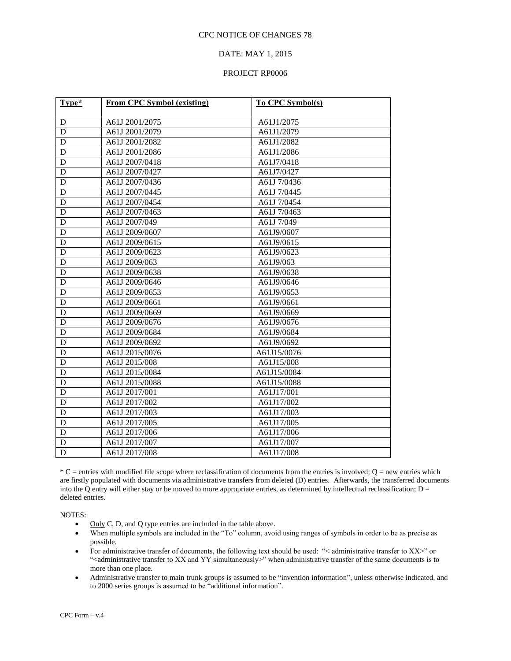#### DATE: MAY 1, 2015

#### PROJECT RP0006

| Type*       | <b>From CPC Symbol (existing)</b> | <b>To CPC Symbol(s)</b> |
|-------------|-----------------------------------|-------------------------|
| D           | A61J 2001/2075                    | A61J1/2075              |
| D           | A61J 2001/2079                    | A61J1/2079              |
| D           | A61J 2001/2082                    | A61J1/2082              |
| D           | A61J 2001/2086                    | A61J1/2086              |
|             | A61J 2007/0418                    | A61J7/0418              |
| D           |                                   |                         |
| D           | A61J 2007/0427                    | A61J7/0427              |
| D           | A61J 2007/0436                    | A61J 7/0436             |
| D           | A61J 2007/0445                    | A61J 7/0445             |
| D           | A61J 2007/0454                    | A61J 7/0454             |
| D           | A61J 2007/0463                    | A61J 7/0463             |
| D           | A61J 2007/049                     | A61J 7/049              |
| D           | A61J 2009/0607                    | A61J9/0607              |
| D           | A61J 2009/0615                    | A61J9/0615              |
| D           | A61J 2009/0623                    | A61J9/0623              |
| D           | A61J 2009/063                     | A61J9/063               |
| $\mathbf D$ | A61J 2009/0638                    | A61J9/0638              |
| D           | A61J 2009/0646                    | A61J9/0646              |
| D           | A61J 2009/0653                    | A61J9/0653              |
| D           | A61J 2009/0661                    | A61J9/0661              |
| D           | A61J 2009/0669                    | A61J9/0669              |
| D           | A61J 2009/0676                    | A61J9/0676              |
| $\mathbf D$ | A61J 2009/0684                    | A61J9/0684              |
| D           | A61J 2009/0692                    | A61J9/0692              |
| D           | A61J 2015/0076                    | A61J15/0076             |
| D           | A61J 2015/008                     | A61J15/008              |
| D           | A61J 2015/0084                    | A61J15/0084             |
| D           | A61J 2015/0088                    | A61J15/0088             |
| D           | A61J 2017/001                     | A61J17/001              |
| D           | A61J 2017/002                     | A61J17/002              |
| D           | A61J 2017/003                     | A61J17/003              |
| D           | A61J 2017/005                     | A61J17/005              |
| D           | A61J 2017/006                     | A61J17/006              |
| D           | A61J 2017/007                     | A61J17/007              |
|             |                                   |                         |
| D           | A61J 2017/008                     | A61J17/008              |

 $*C$  = entries with modified file scope where reclassification of documents from the entries is involved;  $Q$  = new entries which are firstly populated with documents via administrative transfers from deleted (D) entries. Afterwards, the transferred documents into the Q entry will either stay or be moved to more appropriate entries, as determined by intellectual reclassification;  $D =$ deleted entries.

NOTES:

- $\bullet$  Only C, D, and Q type entries are included in the table above.
- When multiple symbols are included in the "To" column, avoid using ranges of symbols in order to be as precise as possible.
- For administrative transfer of documents, the following text should be used: "< administrative transfer to XX>" or ">
"<administrative transfer to XX and YY simultaneously>" when administrative transfer of the same documents is to more than one place.
- Administrative transfer to main trunk groups is assumed to be "invention information", unless otherwise indicated, and to 2000 series groups is assumed to be "additional information".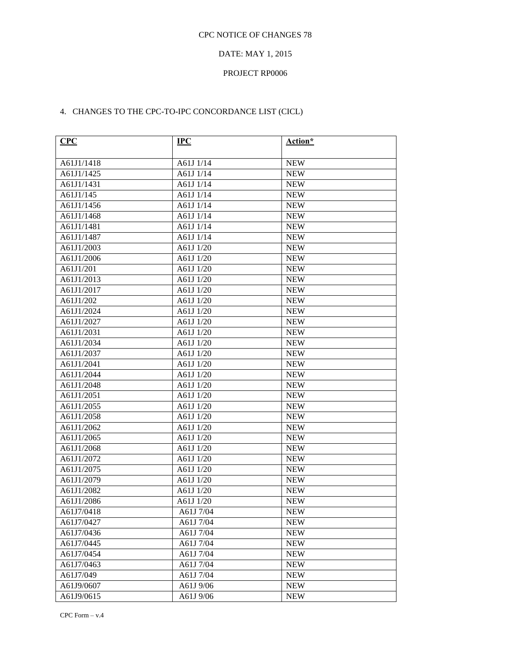### DATE: MAY 1, 2015

#### PROJECT RP0006

# 4. CHANGES TO THE CPC-TO-IPC CONCORDANCE LIST (CICL)

| CPC        | <b>IPC</b> | Action*    |
|------------|------------|------------|
|            |            |            |
| A61J1/1418 | A61J 1/14  | <b>NEW</b> |
| A61J1/1425 | A61J 1/14  | <b>NEW</b> |
| A61J1/1431 | A61J 1/14  | <b>NEW</b> |
| A61J1/145  | A61J 1/14  | <b>NEW</b> |
| A61J1/1456 | A61J 1/14  | <b>NEW</b> |
| A61J1/1468 | A61J 1/14  | <b>NEW</b> |
| A61J1/1481 | A61J 1/14  | <b>NEW</b> |
| A61J1/1487 | A61J 1/14  | <b>NEW</b> |
| A61J1/2003 | A61J 1/20  | <b>NEW</b> |
| A61J1/2006 | A61J 1/20  | <b>NEW</b> |
| A61J1/201  | A61J 1/20  | <b>NEW</b> |
| A61J1/2013 | A61J 1/20  | <b>NEW</b> |
| A61J1/2017 | A61J 1/20  | <b>NEW</b> |
| A61J1/202  | A61J 1/20  | <b>NEW</b> |
| A61J1/2024 | A61J 1/20  | <b>NEW</b> |
| A61J1/2027 | A61J 1/20  | <b>NEW</b> |
| A61J1/2031 | A61J 1/20  | <b>NEW</b> |
| A61J1/2034 | A61J 1/20  | <b>NEW</b> |
| A61J1/2037 | A61J 1/20  | <b>NEW</b> |
| A61J1/2041 | A61J 1/20  | <b>NEW</b> |
| A61J1/2044 | A61J 1/20  | <b>NEW</b> |
| A61J1/2048 | A61J 1/20  | <b>NEW</b> |
| A61J1/2051 | A61J 1/20  | <b>NEW</b> |
| A61J1/2055 | A61J 1/20  | <b>NEW</b> |
| A61J1/2058 | A61J 1/20  | <b>NEW</b> |
| A61J1/2062 | A61J 1/20  | <b>NEW</b> |
| A61J1/2065 | A61J 1/20  | <b>NEW</b> |
| A61J1/2068 | A61J 1/20  | <b>NEW</b> |
| A61J1/2072 | A61J 1/20  | <b>NEW</b> |
| A61J1/2075 | A61J 1/20  | <b>NEW</b> |
| A61J1/2079 | A61J 1/20  | <b>NEW</b> |
| A61J1/2082 | A61J 1/20  | <b>NEW</b> |
| A61J1/2086 | A61J 1/20  | <b>NEW</b> |
| A61J7/0418 | A61J 7/04  | <b>NEW</b> |
| A61J7/0427 | A61J 7/04  | <b>NEW</b> |
| A61J7/0436 | A61J 7/04  | <b>NEW</b> |
| A61J7/0445 | A61J 7/04  | <b>NEW</b> |
| A61J7/0454 | A61J 7/04  | <b>NEW</b> |
| A61J7/0463 | A61J 7/04  | <b>NEW</b> |
| A61J7/049  | A61J 7/04  | <b>NEW</b> |
| A61J9/0607 | A61J 9/06  | <b>NEW</b> |
| A61J9/0615 | A61J 9/06  | <b>NEW</b> |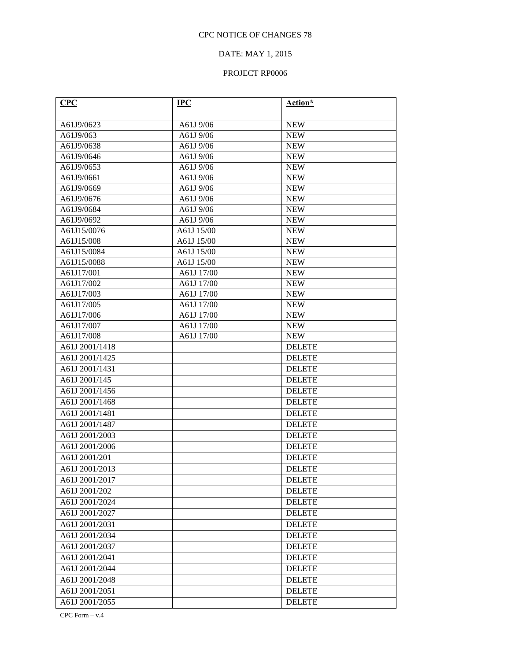### DATE: MAY 1, 2015

#### PROJECT RP0006

| CPC            | $IPC$      | Action*       |
|----------------|------------|---------------|
| A61J9/0623     | A61J 9/06  | <b>NEW</b>    |
| A61J9/063      | A61J 9/06  | <b>NEW</b>    |
| A61J9/0638     | A61J 9/06  | <b>NEW</b>    |
| A61J9/0646     | A61J 9/06  | <b>NEW</b>    |
| A61J9/0653     | A61J 9/06  | <b>NEW</b>    |
| A61J9/0661     | A61J 9/06  | <b>NEW</b>    |
| A61J9/0669     | A61J 9/06  | <b>NEW</b>    |
| A61J9/0676     | A61J 9/06  | <b>NEW</b>    |
| A61J9/0684     | A61J 9/06  | <b>NEW</b>    |
| A61J9/0692     | A61J 9/06  | <b>NEW</b>    |
| A61J15/0076    | A61J 15/00 | <b>NEW</b>    |
| A61J15/008     | A61J 15/00 | <b>NEW</b>    |
| A61J15/0084    | A61J 15/00 | <b>NEW</b>    |
| A61J15/0088    | A61J 15/00 | <b>NEW</b>    |
| A61J17/001     | A61J 17/00 | <b>NEW</b>    |
| A61J17/002     | A61J 17/00 | <b>NEW</b>    |
| A61J17/003     | A61J 17/00 | <b>NEW</b>    |
| A61J17/005     | A61J 17/00 | <b>NEW</b>    |
| A61J17/006     | A61J 17/00 | <b>NEW</b>    |
| A61J17/007     | A61J 17/00 | <b>NEW</b>    |
| A61J17/008     | A61J 17/00 | <b>NEW</b>    |
| A61J 2001/1418 |            | <b>DELETE</b> |
| A61J 2001/1425 |            | <b>DELETE</b> |
| A61J 2001/1431 |            | <b>DELETE</b> |
| A61J 2001/145  |            | <b>DELETE</b> |
| A61J 2001/1456 |            | <b>DELETE</b> |
| A61J 2001/1468 |            | <b>DELETE</b> |
| A61J 2001/1481 |            | <b>DELETE</b> |
| A61J 2001/1487 |            | <b>DELETE</b> |
| A61J 2001/2003 |            | <b>DELETE</b> |
| A61J 2001/2006 |            | <b>DELETE</b> |
| A61J 2001/201  |            | <b>DELETE</b> |
| A61J 2001/2013 |            | <b>DELETE</b> |
| A61J 2001/2017 |            | <b>DELETE</b> |
| A61J 2001/202  |            | <b>DELETE</b> |
| A61J 2001/2024 |            | <b>DELETE</b> |
| A61J 2001/2027 |            | <b>DELETE</b> |
| A61J 2001/2031 |            | <b>DELETE</b> |
| A61J 2001/2034 |            | <b>DELETE</b> |
| A61J 2001/2037 |            | <b>DELETE</b> |
| A61J 2001/2041 |            | <b>DELETE</b> |
| A61J 2001/2044 |            | <b>DELETE</b> |
| A61J 2001/2048 |            | <b>DELETE</b> |
| A61J 2001/2051 |            | <b>DELETE</b> |
| A61J 2001/2055 |            | <b>DELETE</b> |
|                |            |               |

CPC Form – v.4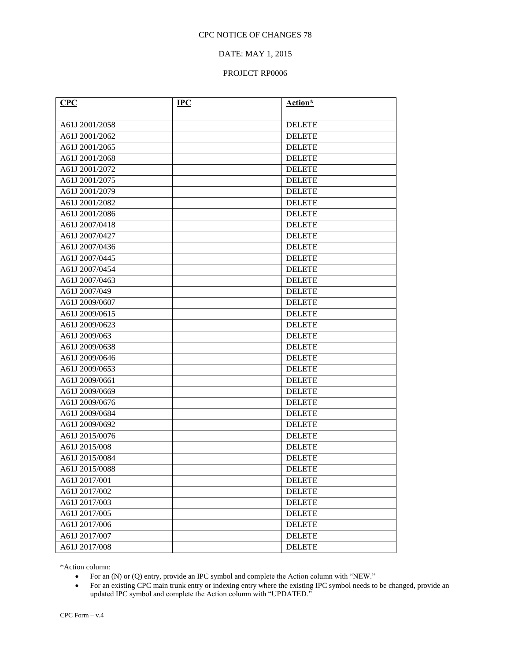### DATE: MAY 1, 2015

#### PROJECT RP0006

| CPC            | $\bf IPC$ | Action*       |
|----------------|-----------|---------------|
| A61J 2001/2058 |           | <b>DELETE</b> |
| A61J 2001/2062 |           | <b>DELETE</b> |
| A61J 2001/2065 |           | <b>DELETE</b> |
| A61J 2001/2068 |           | <b>DELETE</b> |
| A61J 2001/2072 |           | <b>DELETE</b> |
| A61J 2001/2075 |           | <b>DELETE</b> |
| A61J 2001/2079 |           | <b>DELETE</b> |
| A61J 2001/2082 |           | <b>DELETE</b> |
| A61J 2001/2086 |           | <b>DELETE</b> |
| A61J 2007/0418 |           | <b>DELETE</b> |
| A61J 2007/0427 |           | <b>DELETE</b> |
| A61J 2007/0436 |           | <b>DELETE</b> |
| A61J 2007/0445 |           | <b>DELETE</b> |
| A61J 2007/0454 |           | <b>DELETE</b> |
| A61J 2007/0463 |           | <b>DELETE</b> |
| A61J 2007/049  |           | <b>DELETE</b> |
| A61J 2009/0607 |           | <b>DELETE</b> |
| A61J 2009/0615 |           | <b>DELETE</b> |
| A61J 2009/0623 |           | <b>DELETE</b> |
| A61J 2009/063  |           | <b>DELETE</b> |
| A61J 2009/0638 |           | <b>DELETE</b> |
| A61J 2009/0646 |           | <b>DELETE</b> |
| A61J 2009/0653 |           | <b>DELETE</b> |
| A61J 2009/0661 |           | <b>DELETE</b> |
| A61J 2009/0669 |           | <b>DELETE</b> |
| A61J 2009/0676 |           | <b>DELETE</b> |
| A61J 2009/0684 |           | <b>DELETE</b> |
| A61J 2009/0692 |           | <b>DELETE</b> |
| A61J 2015/0076 |           | <b>DELETE</b> |
| A61J 2015/008  |           | <b>DELETE</b> |
| A61J 2015/0084 |           | <b>DELETE</b> |
| A61J 2015/0088 |           | <b>DELETE</b> |
| A61J 2017/001  |           | <b>DELETE</b> |
| A61J 2017/002  |           | <b>DELETE</b> |
| A61J 2017/003  |           | <b>DELETE</b> |
| A61J 2017/005  |           | <b>DELETE</b> |
| A61J 2017/006  |           | <b>DELETE</b> |
| A61J 2017/007  |           | <b>DELETE</b> |
| A61J 2017/008  |           | <b>DELETE</b> |

\*Action column:

• For an (N) or (Q) entry, provide an IPC symbol and complete the Action column with "NEW."

• For an existing CPC main trunk entry or indexing entry where the existing IPC symbol needs to be changed, provide an updated IPC symbol and complete the Action column with "UPDATED."